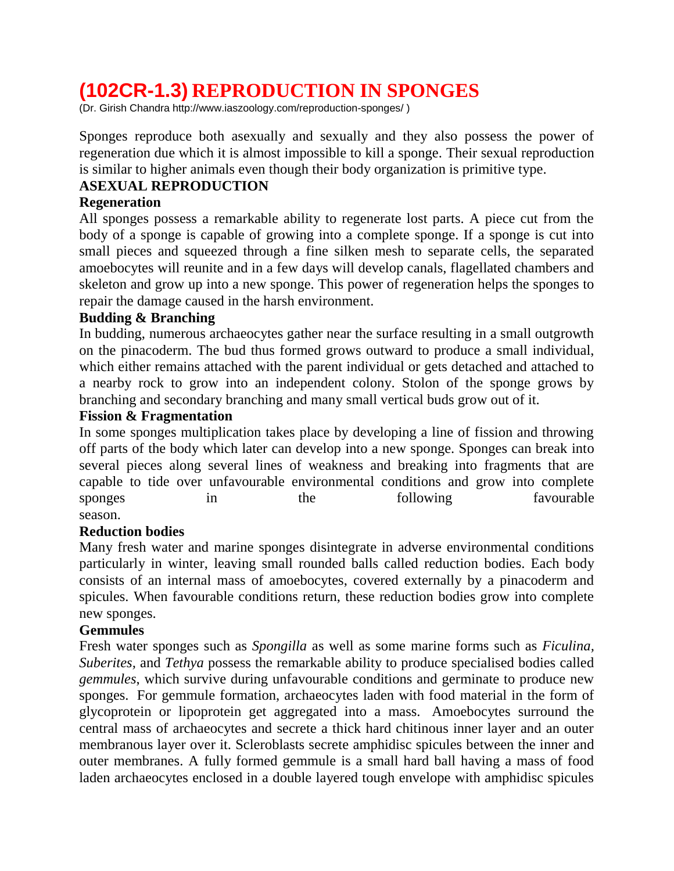# **(102CR-1.3) REPRODUCTION IN SPONGES**

(Dr. Girish Chandra http://www.iaszoology.com/reproduction-sponges/ )

Sponges reproduce both asexually and sexually and they also possess the power of regeneration due which it is almost impossible to kill a sponge. Their sexual reproduction is similar to higher animals even though their body organization is primitive type.

### **ASEXUAL REPRODUCTION**

### **Regeneration**

All sponges possess a remarkable ability to regenerate lost parts. A piece cut from the body of a sponge is capable of growing into a complete sponge. If a sponge is cut into small pieces and squeezed through a fine silken mesh to separate cells, the separated amoebocytes will reunite and in a few days will develop canals, flagellated chambers and skeleton and grow up into a new sponge. This power of regeneration helps the sponges to repair the damage caused in the harsh environment.

## **Budding & Branching**

In budding, numerous archaeocytes gather near the surface resulting in a small outgrowth on the pinacoderm. The bud thus formed grows outward to produce a small individual, which either remains attached with the parent individual or gets detached and attached to a nearby rock to grow into an independent colony. Stolon of the sponge grows by branching and secondary branching and many small vertical buds grow out of it.

#### **Fission & Fragmentation**

In some sponges multiplication takes place by developing a line of fission and throwing off parts of the body which later can develop into a new sponge. Sponges can break into several pieces along several lines of weakness and breaking into fragments that are capable to tide over unfavourable environmental conditions and grow into complete sponges in the following favourable season.

#### **Reduction bodies**

Many fresh water and marine sponges disintegrate in adverse environmental conditions particularly in winter, leaving small rounded balls called reduction bodies. Each body consists of an internal mass of amoebocytes, covered externally by a pinacoderm and spicules. When favourable conditions return, these reduction bodies grow into complete new sponges.

#### **Gemmules**

Fresh water sponges such as *Spongilla* as well as some marine forms such as *Ficulina, Suberites,* and *Tethya* possess the remarkable ability to produce specialised bodies called *gemmules*, which survive during unfavourable conditions and germinate to produce new sponges. For gemmule formation, archaeocytes laden with food material in the form of glycoprotein or lipoprotein get aggregated into a mass. Amoebocytes surround the central mass of archaeocytes and secrete a thick hard chitinous inner layer and an outer membranous layer over it. Scleroblasts secrete amphidisc spicules between the inner and outer membranes. A fully formed gemmule is a small hard ball having a mass of food laden archaeocytes enclosed in a double layered tough envelope with amphidisc spicules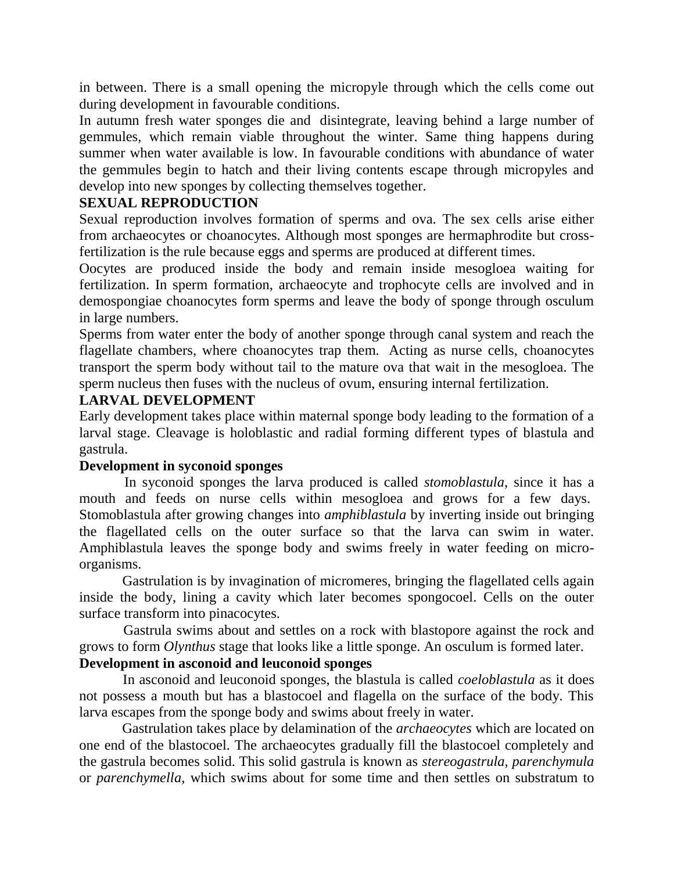in between. There is a small opening the micropyle through which the cells come out during development in favourable conditions.

In autumn fresh water sponges die and disintegrate, leaving behind a large number of gemmules, which remain viable throughout the winter. Same thing happens during summer when water available is low. In favourable conditions with abundance of water the gemmules begin to hatch and their living contents escape through micropyles and develop into new sponges by collecting themselves together.

#### **SEXUAL REPRODUCTION**

Sexual reproduction involves formation of sperms and ova. The sex cells arise either from archaeocytes or choanocytes. Although most sponges are hermaphrodite but crossfertilization is the rule because eggs and sperms are produced at different times.

Oocytes are produced inside the body and remain inside mesogloea waiting for fertilization. In sperm formation, archaeocyte and trophocyte cells are involved and in demospongiae choanocytes form sperms and leave the body of sponge through osculum in large numbers.

Sperms from water enter the body of another sponge through canal system and reach the flagellate chambers, where choanocytes trap them. Acting as nurse cells, choanocytes transport the sperm body without tail to the mature ova that wait in the mesogloea. The sperm nucleus then fuses with the nucleus of ovum, ensuring internal fertilization.

#### **LARVAL DEVELOPMENT**

Early development takes place within maternal sponge body leading to the formation of a larval stage. Cleavage is holoblastic and radial forming different types of blastula and gastrula.

#### **Development in syconoid sponges**

 In syconoid sponges the larva produced is called *stomoblastula*, since it has a mouth and feeds on nurse cells within mesogloea and grows for a few days. Stomoblastula after growing changes into *amphiblastula* by inverting inside out bringing the flagellated cells on the outer surface so that the larva can swim in water. Amphiblastula leaves the sponge body and swims freely in water feeding on microorganisms.

 Gastrulation is by invagination of micromeres, bringing the flagellated cells again inside the body, lining a cavity which later becomes spongocoel. Cells on the outer surface transform into pinacocytes.

 Gastrula swims about and settles on a rock with blastopore against the rock and grows to form *Olynthus* stage that looks like a little sponge. An osculum is formed later.

#### **Development in asconoid and leuconoid sponges**

 In asconoid and leuconoid sponges, the blastula is called *coeloblastula* as it does not possess a mouth but has a blastocoel and flagella on the surface of the body. This larva escapes from the sponge body and swims about freely in water.

 Gastrulation takes place by delamination of the *archaeocytes* which are located on one end of the blastocoel. The archaeocytes gradually fill the blastocoel completely and the gastrula becomes solid. This solid gastrula is known as *stereogastrula, parenchymula*  or *parenchymella,* which swims about for some time and then settles on substratum to